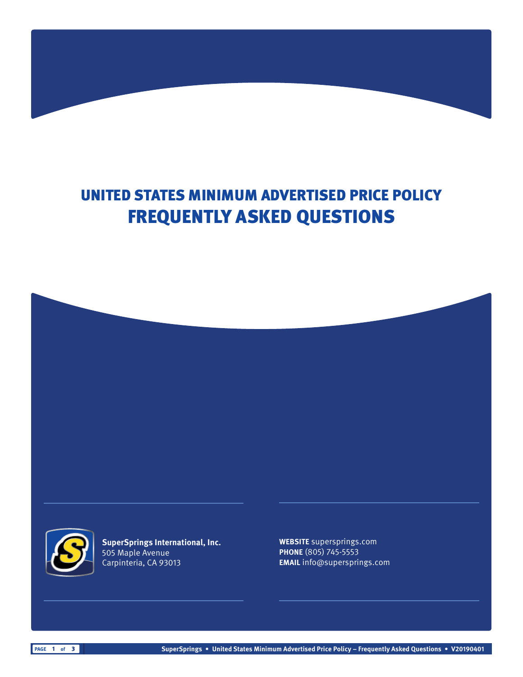# UNITED STATES MINIMUM ADVERTISED PRICE POLICY FREQUENTLY ASKED QUESTIONS





**SuperSprings International, Inc.** 505 Maple Avenue Carpinteria, CA 93013

**WEBSITE** supersprings.com **PHONE** (805) 745-5553 **EMAIL** info@supersprings.com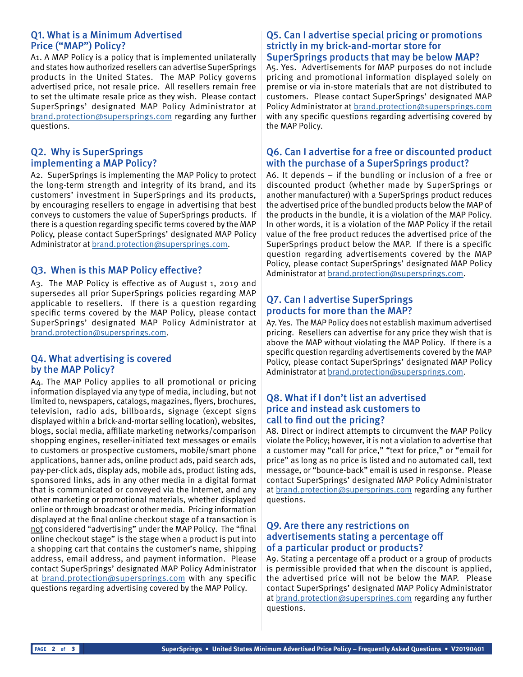#### Q1. What is a Minimum Advertised Price ("MAP") Policy?

A1. A MAP Policy is a policy that is implemented unilaterally and states how authorized resellers can advertise SuperSprings products in the United States. The MAP Policy governs advertised price, not resale price. All resellers remain free to set the ultimate resale price as they wish. Please contact SuperSprings' designated MAP Policy Administrator at [brand.protection@supersprings.com](mailto:brand.protection%40supersprings.com?subject=) regarding any further questions.

## Q2. Why is SuperSprings implementing a MAP Policy?

A2. SuperSprings is implementing the MAP Policy to protect the long-term strength and integrity of its brand, and its customers' investment in SuperSprings and its products, by encouraging resellers to engage in advertising that best conveys to customers the value of SuperSprings products. If there is a question regarding specific terms covered by the MAP Policy, please contact SuperSprings' designated MAP Policy Administrator at [brand.protection@supersprings.com.](mailto:brand.protection%40supersprings.com?subject=)

# Q3. When is this MAP Policy effective?

A3. The MAP Policy is effective as of August 1, 2019 and supersedes all prior SuperSprings policies regarding MAP applicable to resellers. If there is a question regarding specific terms covered by the MAP Policy, please contact SuperSprings' designated MAP Policy Administrator at [brand.protection@supersprings.com.](mailto:brand.protection%40supersprings.com?subject=)

#### Q4. What advertising is covered by the MAP Policy?

A4. The MAP Policy applies to all promotional or pricing information displayed via any type of media, including, but not limited to, newspapers, catalogs, magazines, flyers, brochures, television, radio ads, billboards, signage (except signs displayed within a brick-and-mortar selling location), websites, blogs, social media, affiliate marketing networks/comparison shopping engines, reseller-initiated text messages or emails to customers or prospective customers, mobile/smart phone applications, banner ads, online product ads, paid search ads, pay-per-click ads, display ads, mobile ads, product listing ads, sponsored links, ads in any other media in a digital format that is communicated or conveyed via the Internet, and any other marketing or promotional materials, whether displayed online or through broadcast or other media. Pricing information displayed at the final online checkout stage of a transaction is not considered "advertising" under the MAP Policy. The "final online checkout stage" is the stage when a product is put into a shopping cart that contains the customer's name, shipping address, email address, and payment information. Please contact SuperSprings' designated MAP Policy Administrator at [brand.protection@supersprings.com](mailto:brand.protection%40supersprings.com?subject=) with any specific questions regarding advertising covered by the MAP Policy.

#### Q5. Can I advertise special pricing or promotions strictly in my brick-and-mortar store for SuperSprings products that may be below MAP?

A5. Yes. Advertisements for MAP purposes do not include pricing and promotional information displayed solely on premise or via in-store materials that are not distributed to customers. Please contact SuperSprings' designated MAP Policy Administrator at [brand.protection@supersprings.com](mailto:brand.protection%40supersprings.com?subject=) with any specific questions regarding advertising covered by the MAP Policy.

## Q6. Can I advertise for a free or discounted product with the purchase of a SuperSprings product?

A6. It depends – if the bundling or inclusion of a free or discounted product (whether made by SuperSprings or another manufacturer) with a SuperSprings product reduces the advertised price of the bundled products below the MAP of the products in the bundle, it is a violation of the MAP Policy. In other words, it is a violation of the MAP Policy if the retail value of the free product reduces the advertised price of the SuperSprings product below the MAP. If there is a specific question regarding advertisements covered by the MAP Policy, please contact SuperSprings' designated MAP Policy Administrator at [brand.protection@supersprings.com.](mailto:brand.protection%40supersprings.com?subject=)

## Q7. Can I advertise SuperSprings products for more than the MAP?

A7. Yes. The MAP Policy does not establish maximum advertised pricing. Resellers can advertise for any price they wish that is above the MAP without violating the MAP Policy. If there is a specific question regarding advertisements covered by the MAP Policy, please contact SuperSprings' designated MAP Policy Administrator at [brand.protection@supersprings.com.](mailto:brand.protection%40supersprings.com?subject=)

#### Q8. What if I don't list an advertised price and instead ask customers to call to find out the pricing?

A8. Direct or indirect attempts to circumvent the MAP Policy violate the Policy; however, it is not a violation to advertise that a customer may "call for price," "text for price," or "email for price" as long as no price is listed and no automated call, text message, or "bounce-back" email is used in response. Please contact SuperSprings' designated MAP Policy Administrator at [brand.protection@supersprings.com](mailto:brand.protection%40supersprings.com?subject=) regarding any further questions.

## Q9. Are there any restrictions on advertisements stating a percentage off of a particular product or products?

A9. Stating a percentage off a product or a group of products is permissible provided that when the discount is applied, the advertised price will not be below the MAP. Please contact SuperSprings' designated MAP Policy Administrator at [brand.protection@supersprings.com](mailto:brand.protection%40supersprings.com?subject=) regarding any further questions.